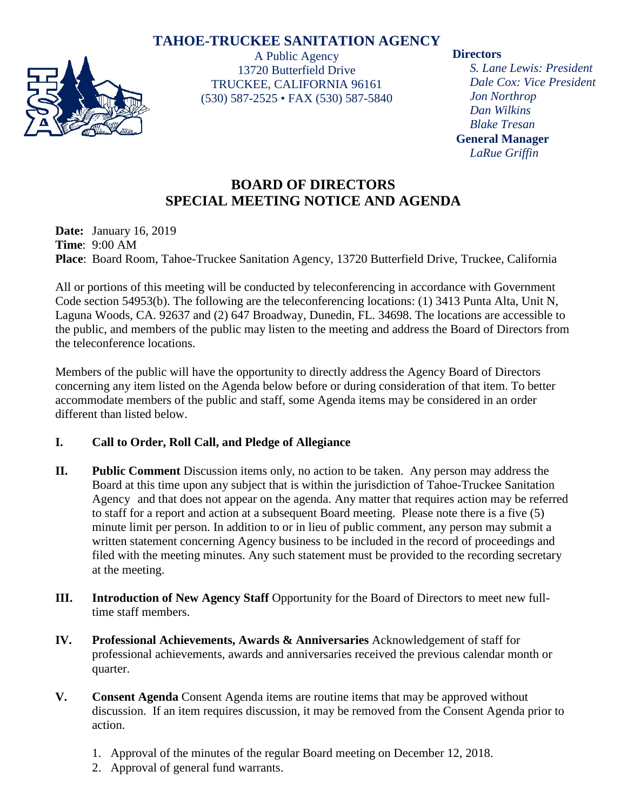# **TAHOE-TRUCKEE SANITATION AGENCY**



A Public Agency 13720 Butterfield Drive TRUCKEE, CALIFORNIA 96161 (530) 587-2525 • FAX (530) 587-5840

### **Directors**

*S. Lane Lewis: President Dale Cox: Vice President Jon Northrop Dan Wilkins Blake Tresan* **General Manager** *LaRue Griffin*

# **BOARD OF DIRECTORS SPECIAL MEETING NOTICE AND AGENDA**

**Date:** January 16, 2019 **Time**: 9:00 AM **Place**: Board Room, Tahoe-Truckee Sanitation Agency, 13720 Butterfield Drive, Truckee, California

All or portions of this meeting will be conducted by teleconferencing in accordance with Government Code section 54953(b). The following are the teleconferencing locations: (1) 3413 Punta Alta, Unit N, Laguna Woods, CA. 92637 and (2) 647 Broadway, Dunedin, FL. 34698. The locations are accessible to the public, and members of the public may listen to the meeting and address the Board of Directors from the teleconference locations.

Members of the public will have the opportunity to directly address the Agency Board of Directors concerning any item listed on the Agenda below before or during consideration of that item. To better accommodate members of the public and staff, some Agenda items may be considered in an order different than listed below.

## **I. Call to Order, Roll Call, and Pledge of Allegiance**

- **II. Public Comment** Discussion items only, no action to be taken. Any person may address the Board at this time upon any subject that is within the jurisdiction of Tahoe-Truckee Sanitation Agency and that does not appear on the agenda. Any matter that requires action may be referred to staff for a report and action at a subsequent Board meeting. Please note there is a five (5) minute limit per person. In addition to or in lieu of public comment, any person may submit a written statement concerning Agency business to be included in the record of proceedings and filed with the meeting minutes. Any such statement must be provided to the recording secretary at the meeting.
- **III.** Introduction of New Agency Staff Opportunity for the Board of Directors to meet new fulltime staff members.
- **IV. Professional Achievements, Awards & Anniversaries** Acknowledgement of staff for professional achievements, awards and anniversaries received the previous calendar month or quarter.
- **V. Consent Agenda** Consent Agenda items are routine items that may be approved without discussion. If an item requires discussion, it may be removed from the Consent Agenda prior to action.
	- 1. Approval of the minutes of the regular Board meeting on December 12, 2018.
	- 2. Approval of general fund warrants.